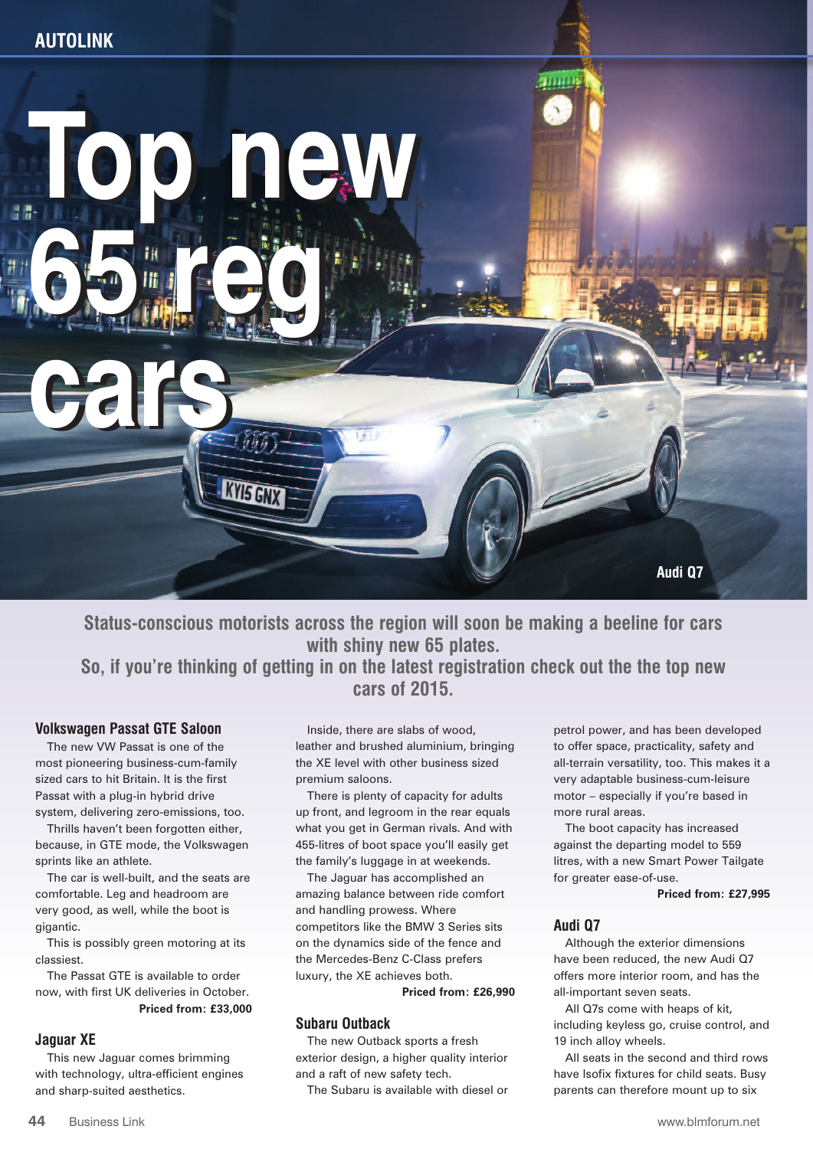

**Status-conscious motorists across the region will soon be making a beeline for cars with shiny new 65 plates. So, if you're thinking of getting in on the latest registration check out the the top new cars of 2015.**

## **Volkswagen Passat GTE Saloon**

The new VW Passat is one of the most pioneering business-cum-family sized cars to hit Britain. It is the first Passat with a plug-in hybrid drive system, delivering zero-emissions, too.

Thrills haven't been forgotten either, because, in GTE mode, the Volkswagen sprints like an athlete.

The car is well-built, and the seats are comfortable. Leg and headroom are very good, as well, while the boot is gigantic.

This is possibly green motoring at its classiest.

The Passat GTE is available to order now, with first UK deliveries in October. **Priced from: £33,000**

## **Jaguar XE**

This new Jaguar comes brimming with technology, ultra-efficient engines and sharp-suited aesthetics.

Inside, there are slabs of wood, leather and brushed aluminium, bringing the XE level with other business sized premium saloons.

There is plenty of capacity for adults up front, and legroom in the rear equals what you get in German rivals. And with 455-litres of boot space you'll easily get the family's luggage in at weekends.

The Jaguar has accomplished an amazing balance between ride comfort and handling prowess. Where competitors like the BMW 3 Series sits on the dynamics side of the fence and the Mercedes-Benz C-Class prefers luxury, the XE achieves both.

**Priced from: £26,990**

## **Subaru Outback**

The new Outback sports a fresh exterior design, a higher quality interior and a raft of new safety tech.

The Subaru is available with diesel or

petrol power, and has been developed to offer space, practicality, safety and all-terrain versatility, too. This makes it a very adaptable business-cum-leisure motor – especially if you're based in more rural areas.

The boot capacity has increased against the departing model to 559 litres, with a new Smart Power Tailgate for greater ease-of-use.

**Priced from: £27,995**

#### **Audi Q7**

Although the exterior dimensions have been reduced, the new Audi Q7 offers more interior room, and has the all-important seven seats.

All Q7s come with heaps of kit, including keyless go, cruise control, and 19 inch alloy wheels.

All seats in the second and third rows have Isofix fixtures for child seats. Busy parents can therefore mount up to six